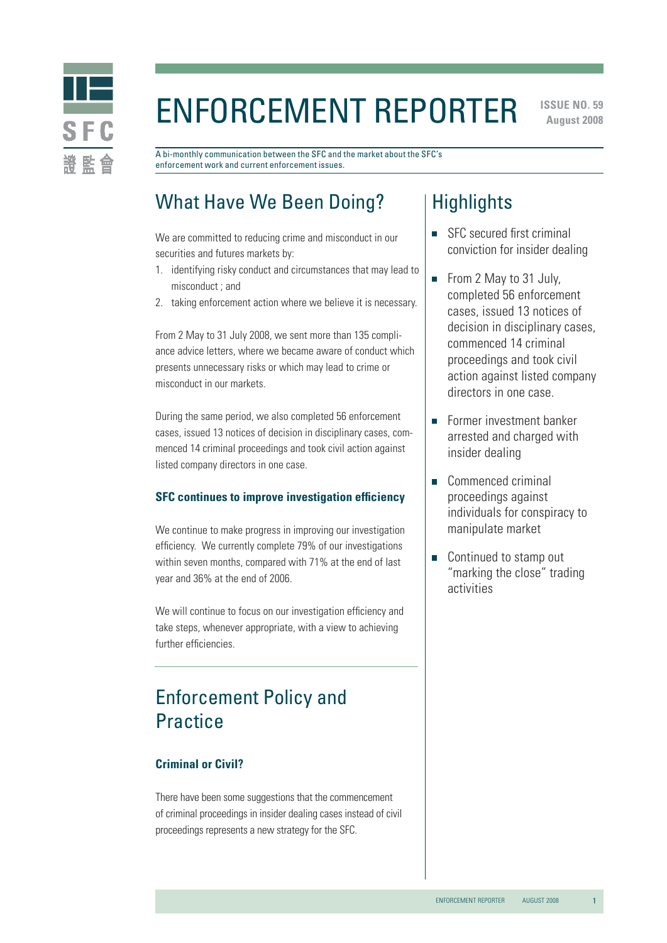

# Enforcement Reporter

**ISSUE NO. 59 August 2008** 

A bi-monthly communication between the SFC and the market about the SFC's enforcement work and current enforcement issues.

## What Have We Been Doing?

We are committed to reducing crime and misconduct in our securities and futures markets by:

- 1. identifying risky conduct and circumstances that may lead to misconduct ; and
- 2. taking enforcement action where we believe it is necessary.

From 2 May to 31 July 2008, we sent more than 135 compliance advice letters, where we became aware of conduct which presents unnecessary risks or which may lead to crime or misconduct in our markets.

During the same period, we also completed 56 enforcement cases, issued 13 notices of decision in disciplinary cases, commenced 14 criminal proceedings and took civil action against listed company directors in one case.

#### **SFC continues to improve investigation efficiency**

We continue to make progress in improving our investigation efficiency. We currently complete 79% of our investigations within seven months, compared with 71% at the end of last year and 36% at the end of 2006.

We will continue to focus on our investigation efficiency and take steps, whenever appropriate, with a view to achieving further efficiencies.

## Enforcement Policy and **Practice**

#### **Criminal or Civil?**

There have been some suggestions that the commencement of criminal proceedings in insider dealing cases instead of civil proceedings represents a new strategy for the SFC.

### **Highlights**

- SFC secured first criminal conviction for insider dealing
- From 2 May to 31 July, completed 56 enforcement cases, issued 13 notices of decision in disciplinary cases, commenced 14 criminal proceedings and took civil action against listed company directors in one case.
- **Former investment banker** arrested and charged with insider dealing
- Commenced criminal proceedings against individuals for conspiracy to manipulate market
- Continued to stamp out "marking the close" trading activities

1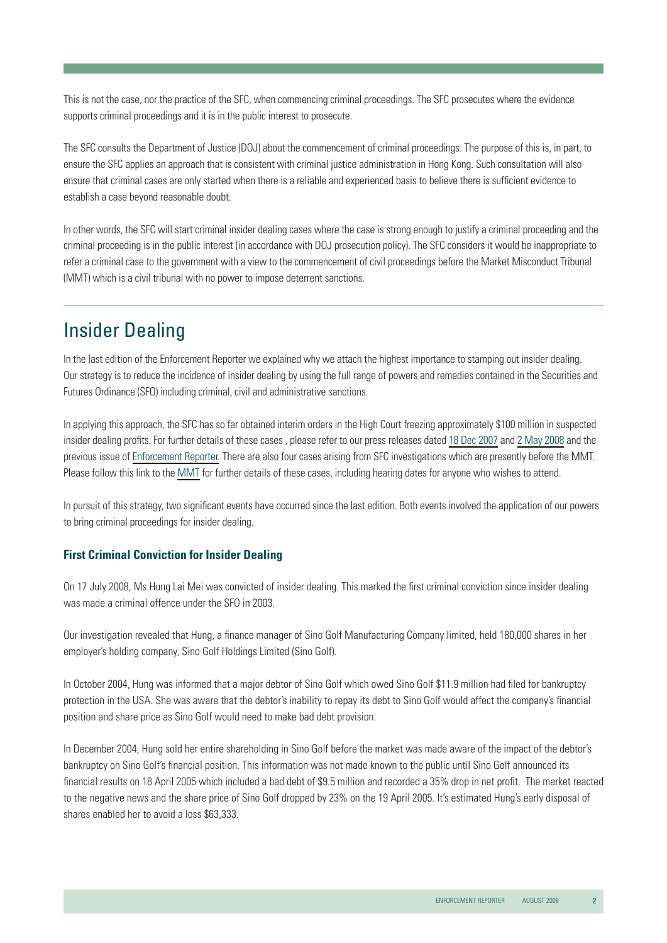This is not the case, nor the practice of the SFC, when commencing criminal proceedings. The SFC prosecutes where the evidence supports criminal proceedings and it is in the public interest to prosecute.

The SFC consults the Department of Justice (DOJ) about the commencement of criminal proceedings. The purpose of this is, in part, to ensure the SFC applies an approach that is consistent with criminal justice administration in Hong Kong. Such consultation will also ensure that criminal cases are only started when there is a reliable and experienced basis to believe there is sufficient evidence to establish a case beyond reasonable doubt.

In other words, the SFC will start criminal insider dealing cases where the case is strong enough to justify a criminal proceeding and the criminal proceeding is in the public interest (in accordance with DOJ prosecution policy). The SFC considers it would be inappropriate to refer a criminal case to the government with a view to the commencement of civil proceedings before the Market Misconduct Tribunal (MMT) which is a civil tribunal with no power to impose deterrent sanctions.

# Insider Dealing

In the last edition of the Enforcement Reporter we explained why we attach the highest importance to stamping out insider dealing. Our strategy is to reduce the incidence of insider dealing by using the full range of powers and remedies contained in the Securities and Futures Ordinance (SFO) including criminal, civil and administrative sanctions.

In applying this approach, the SFC has so far obtained interim orders in the High Court freezing approximately \$100 million in suspected insider dealing profits. For further details of these cases , please refer to our press releases dated [18 Dec 2007](http://www.sfc.hk/sfcPressRelease/EN/sfcOpenDocServlet?docno=07PR220) and [2 May 2008](http://www.sfc.hk/sfcPressRelease/EN/sfcOpenDocServlet?docno=08PR66) and the previous issue of [Enforcement Reporter.](http://www.sfc.hk/sfc/doc/EN/speeches/public/enforcement/08/may_08.pdf) There are also four cases arising from SFC investigations which are presently before the MMT. Please follow this link to the [MMT](http://www.mmt.gov.hk/eng/home/home.htm) for further details of these cases, including hearing dates for anyone who wishes to attend.

In pursuit of this strategy, two significant events have occurred since the last edition. Both events involved the application of our powers to bring criminal proceedings for insider dealing.

#### **First Criminal Conviction for Insider Dealing**

On 17 July 2008, Ms Hung Lai Mei was convicted of insider dealing. This marked the first criminal conviction since insider dealing was made a criminal offence under the SFO in 2003.

Our investigation revealed that Hung, a finance manager of Sino Golf Manufacturing Company limited, held 180,000 shares in her employer's holding company, Sino Golf Holdings Limited (Sino Golf).

In October 2004, Hung was informed that a major debtor of Sino Golf which owed Sino Golf \$11.9 million had filed for bankruptcy protection in the USA. She was aware that the debtor's inability to repay its debt to Sino Golf would affect the company's financial position and share price as Sino Golf would need to make bad debt provision.

In December 2004, Hung sold her entire shareholding in Sino Golf before the market was made aware of the impact of the debtor's bankruptcy on Sino Golf's financial position. This information was not made known to the public until Sino Golf announced its financial results on 18 April 2005 which included a bad debt of \$9.5 million and recorded a 35% drop in net profit. The market reacted to the negative news and the share price of Sino Golf dropped by 23% on the 19 April 2005. It's estimated Hung's early disposal of shares enabled her to avoid a loss \$63,333.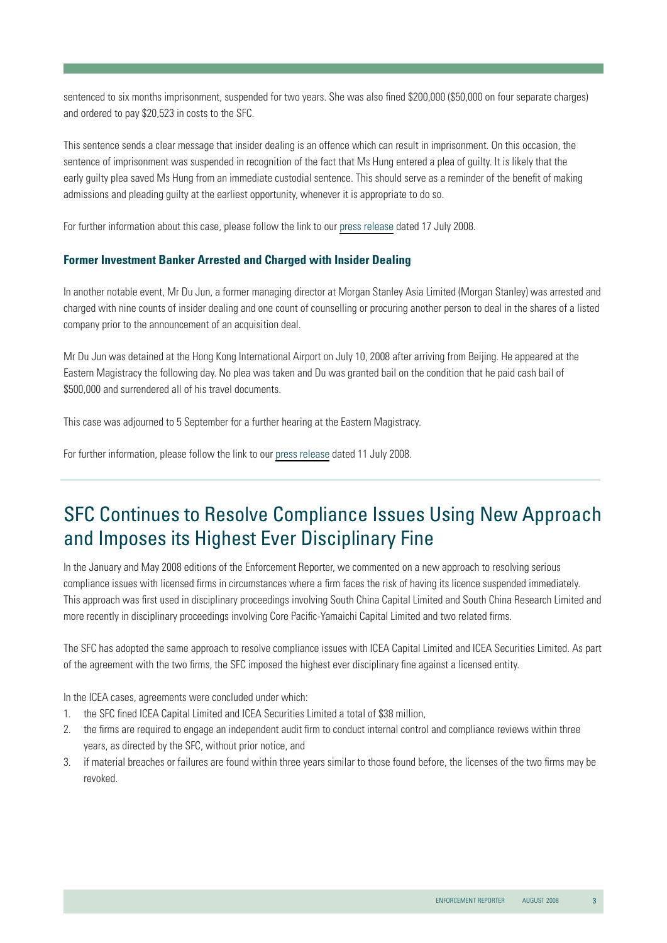sentenced to six months imprisonment, suspended for two years. She was also fined \$200,000 (\$50,000 on four separate charges) and ordered to pay \$20,523 in costs to the SFC.

This sentence sends a clear message that insider dealing is an offence which can result in imprisonment. On this occasion, the sentence of imprisonment was suspended in recognition of the fact that Ms Hung entered a plea of guilty. It is likely that the early guilty plea saved Ms Hung from an immediate custodial sentence. This should serve as a reminder of the benefit of making admissions and pleading guilty at the earliest opportunity, whenever it is appropriate to do so.

For further information about this case, please follow the link to our [press release](http://www.sfc.hk/sfcPressRelease/EN/sfcOpenDocServlet?docno=08PR110) dated 17 July 2008.

#### **Former Investment Banker Arrested and Charged with Insider Dealing**

In another notable event, Mr Du Jun, a former managing director at Morgan Stanley Asia Limited (Morgan Stanley) was arrested and charged with nine counts of insider dealing and one count of counselling or procuring another person to deal in the shares of a listed company prior to the announcement of an acquisition deal.

Mr Du Jun was detained at the Hong Kong International Airport on July 10, 2008 after arriving from Beijing. He appeared at the Eastern Magistracy the following day. No plea was taken and Du was granted bail on the condition that he paid cash bail of \$500,000 and surrendered all of his travel documents.

This case was adjourned to 5 September for a further hearing at the Eastern Magistracy.

For further information, please follow the link to our [press release](http://www.sfc.hk/sfcPressRelease/EN/sfcOpenDocServlet?docno=08PR107) dated 11 July 2008.

### SFC Continues to Resolve Compliance Issues Using New Approach and Imposes its Highest Ever Disciplinary Fine

In the January and May 2008 editions of the Enforcement Reporter, we commented on a new approach to resolving serious compliance issues with licensed firms in circumstances where a firm faces the risk of having its licence suspended immediately. This approach was first used in disciplinary proceedings involving South China Capital Limited and South China Research Limited and more recently in disciplinary proceedings involving Core Pacific-Yamaichi Capital Limited and two related firms.

The SFC has adopted the same approach to resolve compliance issues with ICEA Capital Limited and ICEA Securities Limited. As part of the agreement with the two firms, the SFC imposed the highest ever disciplinary fine against a licensed entity.

In the ICEA cases, agreements were concluded under which:

- 1. the SFC fined ICEA Capital Limited and ICEA Securities Limited a total of \$38 million,
- 22 the firms are required to engage an independent audit firm to conduct internal control and compliance reviews within three years, as directed by the SFC, without prior notice, and
- 3. if material breaches or failures are found within three years similar to those found before, the licenses of the two firms may be revoked.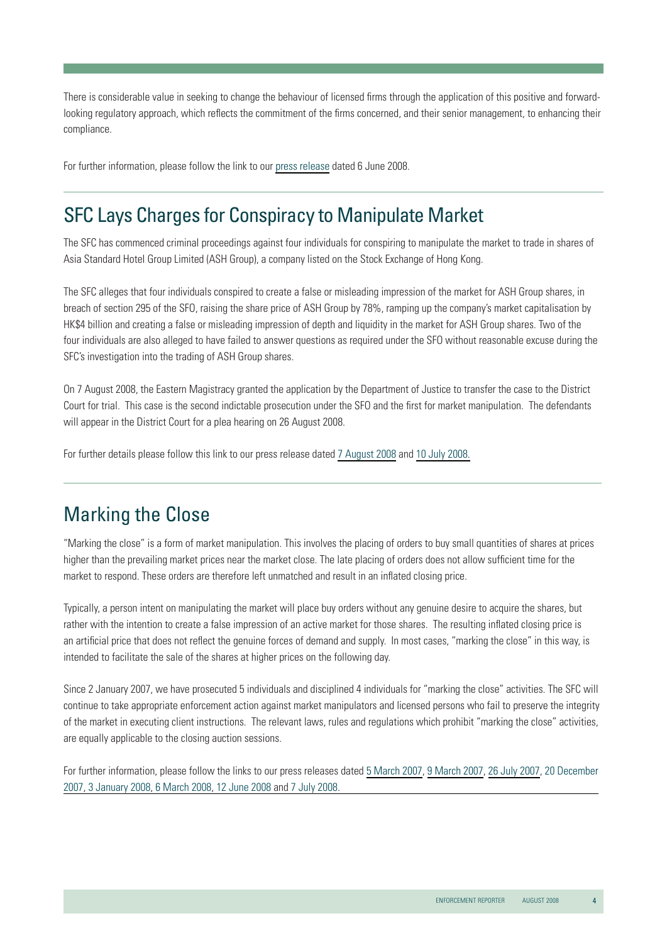There is considerable value in seeking to change the behaviour of licensed firms through the application of this positive and forwardlooking regulatory approach, which reflects the commitment of the firms concerned, and their senior management, to enhancing their compliance.

For further information, please follow the link to our [press release](http://www.sfc.hk/sfcPressRelease/EN/sfcOpenDocServlet?docno=08PR84) dated 6 June 2008.

### SFC Lays Charges for Conspiracy to Manipulate Market

The SFC has commenced criminal proceedings against four individuals for conspiring to manipulate the market to trade in shares of Asia Standard Hotel Group Limited (ASH Group), a company listed on the Stock Exchange of Hong Kong.

The SFC alleges that four individuals conspired to create a false or misleading impression of the market for ASH Group shares, in breach of section 295 of the SFO, raising the share price of ASH Group by 78%, ramping up the company's market capitalisation by HK\$4 billion and creating a false or misleading impression of depth and liquidity in the market for ASH Group shares. Two of the four individuals are also alleged to have failed to answer questions as required under the SFO without reasonable excuse during the SFC's investigation into the trading of ASH Group shares.

On 7 August 2008, the Eastern Magistracy granted the application by the Department of Justice to transfer the case to the District Court for trial. This case is the second indictable prosecution under the SFO and the first for market manipulation. The defendants will appear in the District Court for a plea hearing on 26 August 2008.

For further details please follow this link to our press release dated [7 August 2008](http://www.sfc.hk/sfcPressRelease/EN/sfcOpenDocServlet?docno=08PR123) and [10 July 2008.](http://www.sfc.hk/sfcPressRelease/EN/sfcOpenDocServlet?docno=08PR104)

### Marking the Close

"Marking the close" is a form of market manipulation. This involves the placing of orders to buy small quantities of shares at prices higher than the prevailing market prices near the market close. The late placing of orders does not allow sufficient time for the market to respond. These orders are therefore left unmatched and result in an inflated closing price.

Typically, a person intent on manipulating the market will place buy orders without any genuine desire to acquire the shares, but rather with the intention to create a false impression of an active market for those shares. The resulting inflated closing price is an artificial price that does not reflect the genuine forces of demand and supply. In most cases, "marking the close" in this way, is intended to facilitate the sale of the shares at higher prices on the following day.

Since 2 January 2007, we have prosecuted 5 individuals and disciplined 4 individuals for "marking the close" activities. The SFC will continue to take appropriate enforcement action against market manipulators and licensed persons who fail to preserve the integrity of the market in executing client instructions. The relevant laws, rules and regulations which prohibit "marking the close" activities, are equally applicable to the closing auction sessions.

[For further information, please follow the links to our press releases dated](http://www.sfc.hk/sfcPressRelease/EN/sfcOpenDocServlet?docno=07PR227) [5 March 2007](http://www.sfc.hk/sfcPressRelease/EN/sfcOpenDocServlet?docno=07PR29), [9 March 2007](http://www.sfc.hk/sfcPressRelease/EN/sfcOpenDocServlet?docno=07PR33), [26 July 2007](http://www.sfc.hk/sfcPressRelease/EN/sfcOpenDocServlet?docno=07PR126), 20 December 2007, [3 January 2008](http://www.sfc.hk/sfcPressRelease/EN/sfcOpenDocServlet?docno=08PR3), [6 March 2008,](http://www.sfc.hk/sfcPressRelease/EN/sfcOpenDocServlet?docno=08PR32) [12 June 2008](http://www.sfc.hk/sfcPressRelease/EN/sfcOpenDocServlet?docno=08PR88) and [7 July 2008](http://www.sfc.hk/sfcPressRelease/EN/sfcOpenDocServlet?docno=08PR103).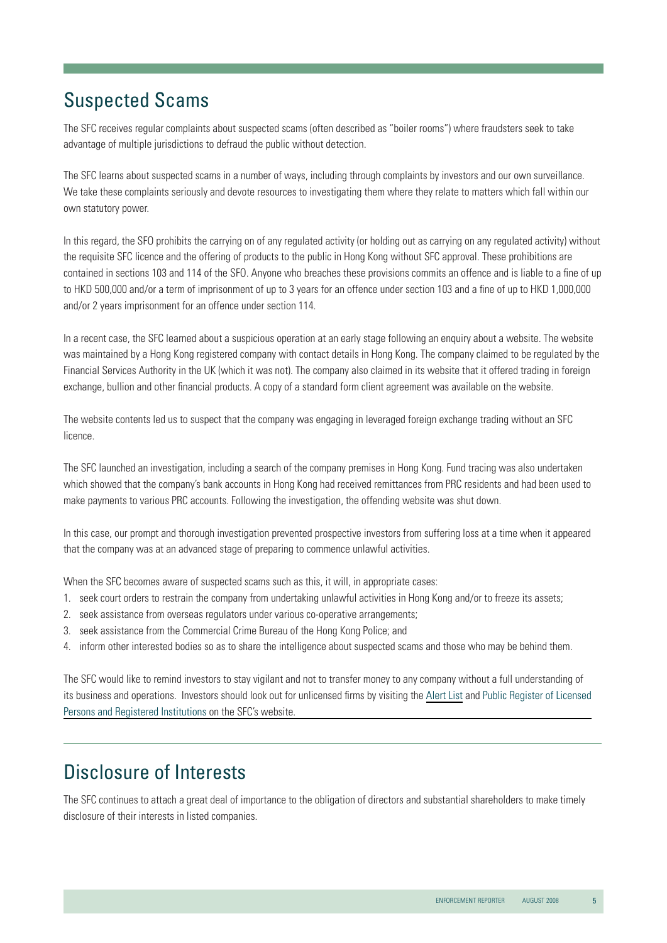# Suspected Scams

The SFC receives regular complaints about suspected scams (often described as "boiler rooms") where fraudsters seek to take advantage of multiple jurisdictions to defraud the public without detection.

The SFC learns about suspected scams in a number of ways, including through complaints by investors and our own surveillance. We take these complaints seriously and devote resources to investigating them where they relate to matters which fall within our own statutory power.

In this regard, the SFO prohibits the carrying on of any regulated activity (or holding out as carrying on any regulated activity) without the requisite SFC licence and the offering of products to the public in Hong Kong without SFC approval. These prohibitions are contained in sections 103 and 114 of the SFO. Anyone who breaches these provisions commits an offence and is liable to a fine of up to HKD 500,000 and/or a term of imprisonment of up to 3 years for an offence under section 103 and a fine of up to HKD 1,000,000 and/or 2 years imprisonment for an offence under section 114.

In a recent case, the SFC learned about a suspicious operation at an early stage following an enquiry about a website. The website was maintained by a Hong Kong registered company with contact details in Hong Kong. The company claimed to be regulated by the Financial Services Authority in the UK (which it was not). The company also claimed in its website that it offered trading in foreign exchange, bullion and other financial products. A copy of a standard form client agreement was available on the website.

The website contents led us to suspect that the company was engaging in leveraged foreign exchange trading without an SFC licence.

The SFC launched an investigation, including a search of the company premises in Hong Kong. Fund tracing was also undertaken which showed that the company's bank accounts in Hong Kong had received remittances from PRC residents and had been used to make payments to various PRC accounts. Following the investigation, the offending website was shut down.

In this case, our prompt and thorough investigation prevented prospective investors from suffering loss at a time when it appeared that the company was at an advanced stage of preparing to commence unlawful activities.

When the SFC becomes aware of suspected scams such as this, it will, in appropriate cases:

- 1. seek court orders to restrain the company from undertaking unlawful activities in Hong Kong and/or to freeze its assets;
- 2. seek assistance from overseas regulators under various co-operative arrangements;
- 3. seek assistance from the Commercial Crime Bureau of the Hong Kong Police; and
- 4. inform other interested bodies so as to share the intelligence about suspected scams and those who may be behind them.

The SFC would like to remind investors to stay vigilant and not to transfer money to any company without a full understanding of [its business and operations. Investors should look out for unlicensed firms by visiting the](http://www.sfc.hk/sfc/html/EN/intermediaries/trading/licensed/licensed.html) [Alert Lis](http://www.invested.hk/InvestEdAlertList/jsp/EN/AlertList.jsp)[t](http://www.sfc.hk/sfc/html/EN/intermediaries/trading/licensed/licensed.html) and Public Register of Licensed Persons and Registered Institutions on the SFC's website.

# Disclosure of Interests

The SFC continues to attach a great deal of importance to the obligation of directors and substantial shareholders to make timely disclosure of their interests in listed companies.